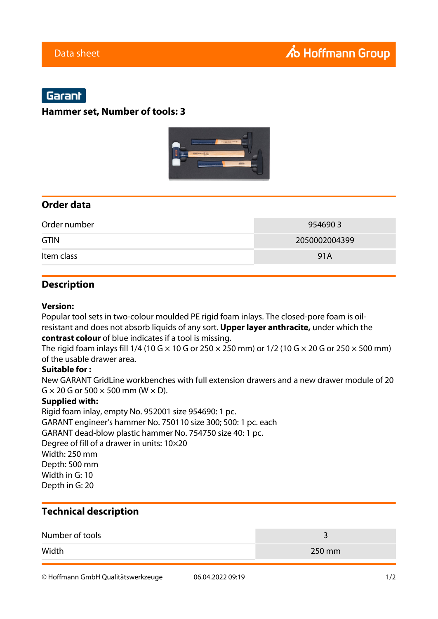# Garant

## **Hammer set, Number of tools: 3**



## **Order data**

| Order number | 9546903       |
|--------------|---------------|
| <b>GTIN</b>  | 2050002004399 |
| Item class   | 91A           |

## **Description**

#### **Version:**

Popular tool sets in two-colour moulded PE rigid foam inlays. The closed-pore foam is oilresistant and does not absorb liquids of any sort. **Upper layer anthracite,** under which the **contrast colour** of blue indicates if a tool is missing.

The rigid foam inlays fill 1/4 (10 G  $\times$  10 G or 250  $\times$  250 mm) or 1/2 (10 G  $\times$  20 G or 250  $\times$  500 mm) of the usable drawer area.

### **Suitable for :**

New GARANT GridLine workbenches with full extension drawers and a new drawer module of 20  $G \times 20 G$  or 500  $\times$  500 mm (W  $\times$  D).

### **Supplied with:**

Rigid foam inlay, empty No. 952001 size 954690: 1 pc. GARANT engineer's hammer No. 750110 size 300; 500: 1 pc. each GARANT dead-blow plastic hammer No. 754750 size 40: 1 pc. Degree of fill of a drawer in units: 10×20 Width: 250 mm Depth: 500 mm Width in G: 10 Depth in G: 20

## **Technical description**

| Number of tools |        |
|-----------------|--------|
| Width           | 250 mm |